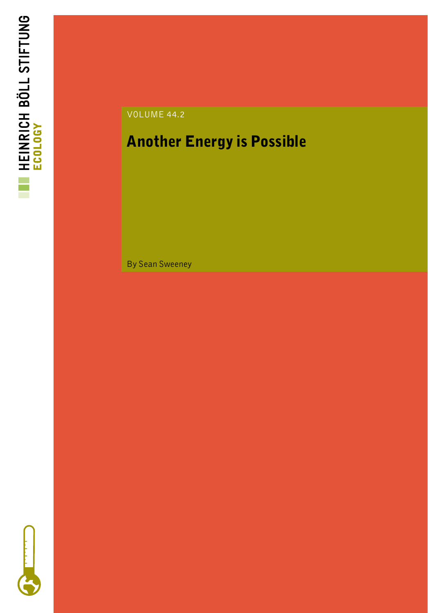



### Another Energy is Possible

By Sean Sweeney

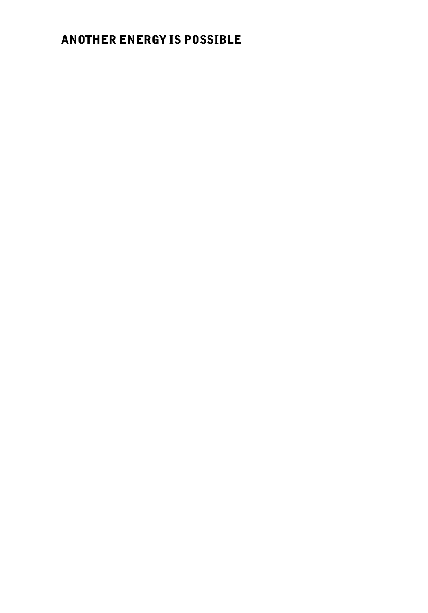### ANOTHER ENERGY IS POSSIBLE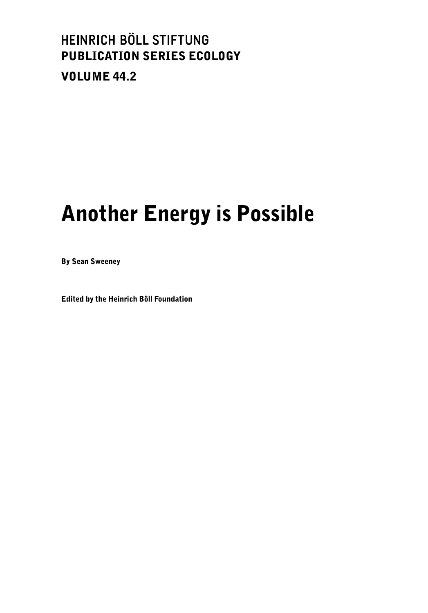### HEINRICH BÖLL STIFTUNG PUBLICATION SERIES ECOLOGY VOLUME 44.2

# Another Energy is Possible

By Sean Sweeney

Edited by the Heinrich Böll Foundation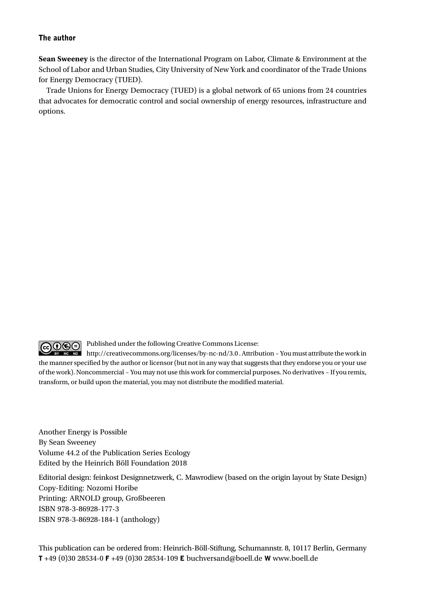#### The author

**Sean Sweeney** is the director of the International Program on Labor, Climate & Environment at the School of Labor and Urban Studies, City University of New York and coordinator of the Trade Unions for Energy Democracy (TUED).

Trade Unions for Energy Democracy (TUED) is a global network of 65 unions from 24 countries that advocates for democratic control and social ownership of energy resources, infrastructure and options.



Published under the following Creative Commons License:

 $\blacksquare$ http://creativecommons.org/licenses/by-nc-nd/3.0 . Attribution – You must attribute the work in the manner specified by the author or licensor (but not in any way that suggests that they endorse you or your use of the work). Noncommercial – You may not use this work for commercial purposes. No derivatives – If you remix, transform, or build upon the material, you may not distribute the modified material.

Another Energy is Possible By Sean Sweeney Volume 44.2 of the Publication Series Ecology Edited by the Heinrich Böll Foundation 2018

Editorial design: feinkost Designnetzwerk, C. Mawrodiew (based on the origin layout by State Design) Copy-Editing: Nozomi Horibe Printing: ARNOLD group, Großbeeren ISBN 978-3-86928-177-3 ISBN 978-3-86928-184-1 (anthology)

This publication can be ordered from: Heinrich-Böll-Stiftung, Schumannstr. 8, 10117 Berlin, Germany T +49 (0)30 28534-0 F +49 (0)30 28534-109 E buchversand@boell.de W www.boell.de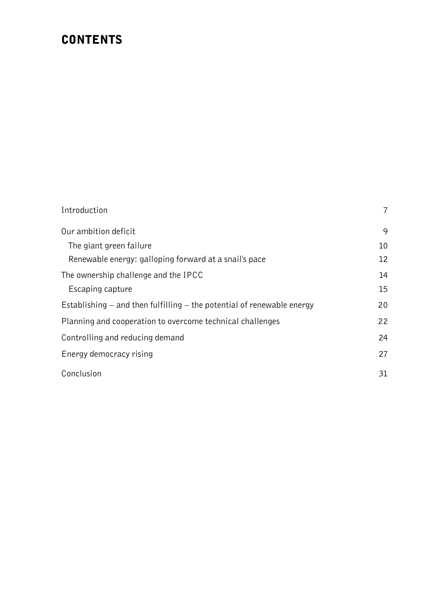### **CONTENTS**

| Introduction                                                               | 7  |
|----------------------------------------------------------------------------|----|
| Our ambition deficit                                                       | 9  |
| The giant green failure                                                    | 10 |
| Renewable energy: galloping forward at a snail's pace                      | 12 |
| The ownership challenge and the IPCC                                       | 14 |
| Escaping capture                                                           | 15 |
| Establishing $-$ and then fulfilling $-$ the potential of renewable energy | 20 |
| Planning and cooperation to overcome technical challenges                  | 22 |
| Controlling and reducing demand                                            | 24 |
| Energy democracy rising                                                    | 27 |
| Conclusion                                                                 | 31 |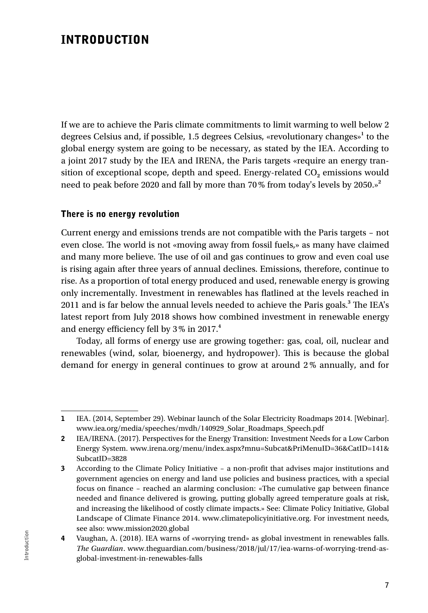### INTRODUCTION

If we are to achieve the Paris climate commitments to limit warming to well below 2 degrees Celsius and, if possible, 1.5 degrees Celsius, «revolutionary changes»**<sup>1</sup>** to the global energy system are going to be necessary, as stated by the IEA. According to a joint 2017 study by the IEA and IRENA, the Paris targets «require an energy transition of exceptional scope, depth and speed. Energy-related CO<sub>2</sub> emissions would need to peak before 2020 and fall by more than 70% from today's levels by 2050.»**<sup>2</sup>**

#### There is no energy revolution

Current energy and emissions trends are not compatible with the Paris targets – not even close. The world is not «moving away from fossil fuels,» as many have claimed and many more believe. The use of oil and gas continues to grow and even coal use is rising again after three years of annual declines. Emissions, therefore, continue to rise. As a proportion of total energy produced and used, renewable energy is growing only incrementally. Investment in renewables has flatlined at the levels reached in 2011 and is far below the annual levels needed to achieve the Paris goals.**<sup>3</sup>** The IEA's latest report from July 2018 shows how combined investment in renewable energy and energy efficiency fell by 3% in 2017.**<sup>4</sup>**

Today, all forms of energy use are growing together: gas, coal, oil, nuclear and renewables (wind, solar, bioenergy, and hydropower). This is because the global demand for energy in general continues to grow at around 2% annually, and for

<sup>1</sup> IEA. (2014, September 29). Webinar launch of the Solar Electricity Roadmaps 2014. [Webinar]. www.iea.org/media/speeches/mvdh/140929\_Solar\_Roadmaps\_Speech.pdf

<sup>2</sup> IEA/IRENA. (2017). Perspectives for the Energy Transition: Investment Needs for a Low Carbon Energy System. www.irena.org/menu/index.aspx?mnu=Subcat&PriMenuID=36&CatID=141& SubcatID=3828

<sup>3</sup> According to the Climate Policy Initiative – a non-profit that advises major institutions and government agencies on energy and land use policies and business practices, with a special focus on finance – reached an alarming conclusion: «The cumulative gap between finance needed and finance delivered is growing, putting globally agreed temperature goals at risk, and increasing the likelihood of costly climate impacts.» See: Climate Policy Initiative, Global Landscape of Climate Finance 2014. www.climatepolicyinitiative.org. For investment needs, see also: www.mission2020.global

<sup>4</sup> Vaughan, A. (2018). IEA warns of «worrying trend» as global investment in renewables falls. *The Guardian*. www.theguardian.com/business/2018/jul/17/iea-warns-of-worrying-trend-asglobal-investment-in-renewables-falls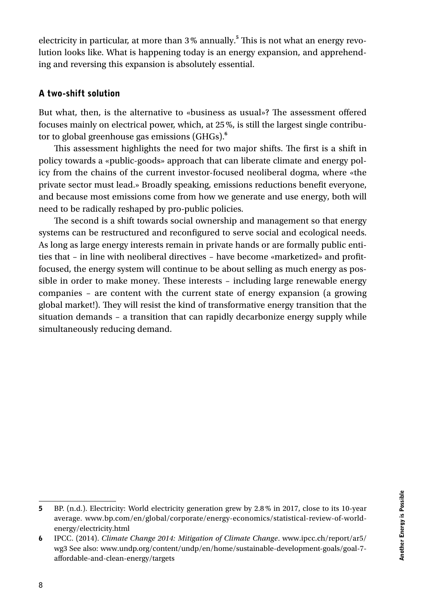electricity in particular, at more than 3% annually.**<sup>5</sup>** This is not what an energy revolution looks like. What is happening today is an energy expansion, and apprehending and reversing this expansion is absolutely essential.

#### A two-shift solution

But what, then, is the alternative to «business as usual»? The assessment offered focuses mainly on electrical power, which, at 25%, is still the largest single contributor to global greenhouse gas emissions (GHGs).**<sup>6</sup>**

This assessment highlights the need for two major shifts. The first is a shift in policy towards a «public-goods» approach that can liberate climate and energy policy from the chains of the current investor-focused neoliberal dogma, where «the private sector must lead.» Broadly speaking, emissions reductions benefit everyone, and because most emissions come from how we generate and use energy, both will need to be radically reshaped by pro-public policies.

The second is a shift towards social ownership and management so that energy systems can be restructured and reconfigured to serve social and ecological needs. As long as large energy interests remain in private hands or are formally public entities that – in line with neoliberal directives – have become «marketized» and profitfocused, the energy system will continue to be about selling as much energy as possible in order to make money. These interests – including large renewable energy companies – are content with the current state of energy expansion (a growing global market!). They will resist the kind of transformative energy transition that the situation demands – a transition that can rapidly decarbonize energy supply while simultaneously reducing demand.

<sup>5</sup> BP. (n.d.). Electricity: World electricity generation grew by 2.8% in 2017, close to its 10-year average. www.bp.com/en/global/corporate/energy-economics/statistical-review-of-worldenergy/electricity.html

<sup>6</sup> IPCC. (2014). *Climate Change 2014: Mitigation of Climate Change*. www.ipcc.ch/report/ar5/ wg3 See also: www.undp.org/content/undp/en/home/sustainable-development-goals/goal-7 affordable-and-clean-energy/targets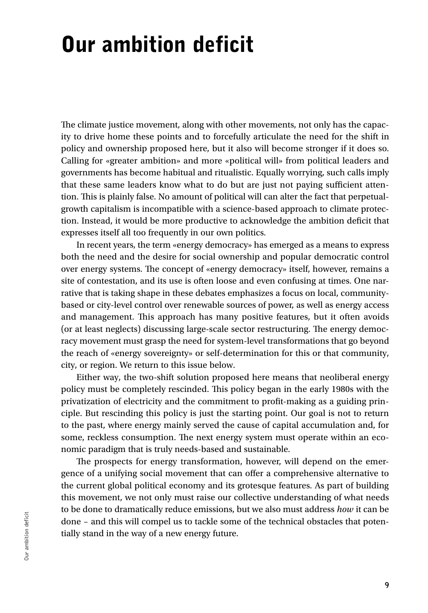## Our ambition deficit

The climate justice movement, along with other movements, not only has the capacity to drive home these points and to forcefully articulate the need for the shift in policy and ownership proposed here, but it also will become stronger if it does so. Calling for «greater ambition» and more «political will» from political leaders and governments has become habitual and ritualistic. Equally worrying, such calls imply that these same leaders know what to do but are just not paying sufficient attention. This is plainly false. No amount of political will can alter the fact that perpetualgrowth capitalism is incompatible with a science-based approach to climate protection. Instead, it would be more productive to acknowledge the ambition deficit that expresses itself all too frequently in our own politics.

In recent years, the term «energy democracy» has emerged as a means to express both the need and the desire for social ownership and popular democratic control over energy systems. The concept of «energy democracy» itself, however, remains a site of contestation, and its use is often loose and even confusing at times. One narrative that is taking shape in these debates emphasizes a focus on local, communitybased or city-level control over renewable sources of power, as well as energy access and management. This approach has many positive features, but it often avoids (or at least neglects) discussing large-scale sector restructuring. The energy democracy movement must grasp the need for system-level transformations that go beyond the reach of «energy sovereignty» or self-determination for this or that community, city, or region. We return to this issue below.

Either way, the two-shift solution proposed here means that neoliberal energy policy must be completely rescinded. This policy began in the early 1980s with the privatization of electricity and the commitment to profit-making as a guiding principle. But rescinding this policy is just the starting point. Our goal is not to return to the past, where energy mainly served the cause of capital accumulation and, for some, reckless consumption. The next energy system must operate within an economic paradigm that is truly needs-based and sustainable.

The prospects for energy transformation, however, will depend on the emergence of a unifying social movement that can offer a comprehensive alternative to the current global political economy and its grotesque features. As part of building this movement, we not only must raise our collective understanding of what needs to be done to dramatically reduce emissions, but we also must address *how* it can be done – and this will compel us to tackle some of the technical obstacles that potentially stand in the way of a new energy future.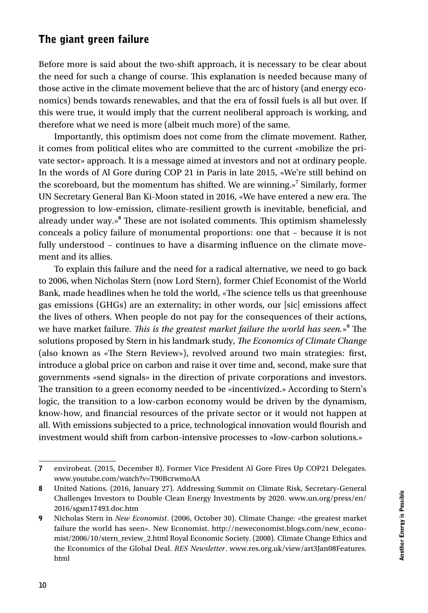#### The giant green failure

Before more is said about the two-shift approach, it is necessary to be clear about the need for such a change of course. This explanation is needed because many of those active in the climate movement believe that the arc of history (and energy economics) bends towards renewables, and that the era of fossil fuels is all but over. If this were true, it would imply that the current neoliberal approach is working, and therefore what we need is more (albeit much more) of the same.

Importantly, this optimism does not come from the climate movement. Rather, it comes from political elites who are committed to the current «mobilize the private sector» approach. It is a message aimed at investors and not at ordinary people. In the words of Al Gore during COP 21 in Paris in late 2015, «We're still behind on the scoreboard, but the momentum has shifted. We are winning.»**<sup>7</sup>** Similarly, former UN Secretary General Ban Ki-Moon stated in 2016, «We have entered a new era. The progression to low-emission, climate-resilient growth is inevitable, beneficial, and already under way.»**<sup>8</sup>** These are not isolated comments. This optimism shamelessly conceals a policy failure of monumental proportions: one that – because it is not fully understood – continues to have a disarming influence on the climate movement and its allies.

To explain this failure and the need for a radical alternative, we need to go back to 2006, when Nicholas Stern (now Lord Stern), former Chief Economist of the World Bank, made headlines when he told the world, «The science tells us that greenhouse gas emissions (GHGs) are an externality; in other words, our [sic] emissions affect the lives of others. When people do not pay for the consequences of their actions, we have market failure. *This is the greatest market failure the world has seen.*» **9** The solutions proposed by Stern in his landmark study, *The Economics of Climate Change* (also known as «The Stern Review»), revolved around two main strategies: first, introduce a global price on carbon and raise it over time and, second, make sure that governments «send signals» in the direction of private corporations and investors. The transition to a green economy needed to be «incentivized.» According to Stern's logic, the transition to a low-carbon economy would be driven by the dynamism, know-how, and financial resources of the private sector or it would not happen at all. With emissions subjected to a price, technological innovation would flourish and investment would shift from carbon-intensive processes to «low-carbon solutions.»

<sup>7</sup> envirobeat. (2015, December 8). Former Vice President Al Gore Fires Up COP21 Delegates. www.youtube.com/watch?v=T90BcrwmoAA

<sup>8</sup> United Nations. (2016, January 27). Addressing Summit on Climate Risk, Secretary-General Challenges Investors to Double Clean Energy Investments by 2020. www.un.org/press/en/ 2016/sgsm17493.doc.htm

<sup>9</sup> Nicholas Stern in *New Economist*. (2006, October 30). Climate Change: «the greatest market failure the world has seen». New Economist. http://neweconomist.blogs.com/new\_economist/2006/10/stern\_review\_2.html Royal Economic Society. (2008). Climate Change Ethics and the Economics of the Global Deal. *RES Newsletter*. www.res.org.uk/view/art3Jan08Features. html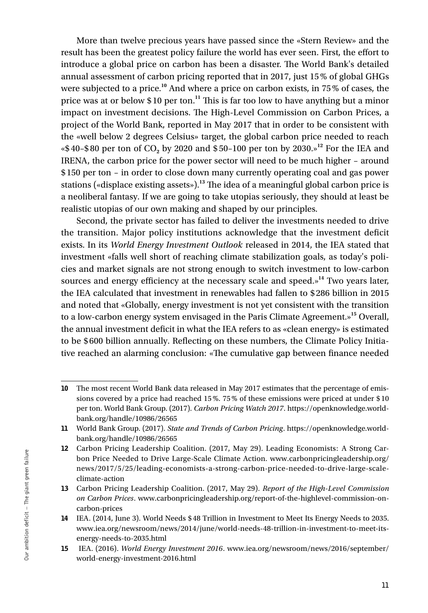More than twelve precious years have passed since the «Stern Review» and the result has been the greatest policy failure the world has ever seen. First, the effort to introduce a global price on carbon has been a disaster. The World Bank's detailed annual assessment of carbon pricing reported that in 2017, just 15% of global GHGs were subjected to a price.**<sup>10</sup>** And where a price on carbon exists, in 75% of cases, the price was at or below \$ 10 per ton.**<sup>11</sup>** This is far too low to have anything but a minor impact on investment decisions. The High-Level Commission on Carbon Prices, a project of the World Bank, reported in May 2017 that in order to be consistent with the «well below 2 degrees Celsius» target, the global carbon price needed to reach «\$ 40–\$ 80 per ton of CO**2** by 2020 and \$ 50–100 per ton by 2030.»**<sup>12</sup>** For the IEA and IRENA, the carbon price for the power sector will need to be much higher – around \$ 150 per ton – in order to close down many currently operating coal and gas power stations («displace existing assets»).**<sup>13</sup>** The idea of a meaningful global carbon price is a neoliberal fantasy. If we are going to take utopias seriously, they should at least be realistic utopias of our own making and shaped by our principles.

Second, the private sector has failed to deliver the investments needed to drive the transition. Major policy institutions acknowledge that the investment deficit exists. In its *World Energy Investment Outlook* released in 2014, the IEA stated that investment «falls well short of reaching climate stabilization goals, as today's policies and market signals are not strong enough to switch investment to low-carbon sources and energy efficiency at the necessary scale and speed.»**<sup>14</sup>** Two years later, the IEA calculated that investment in renewables had fallen to \$286 billion in 2015 and noted that «Globally, energy investment is not yet consistent with the transition to a low-carbon energy system envisaged in the Paris Climate Agreement.»**<sup>15</sup>** Overall, the annual investment deficit in what the IEA refers to as «clean energy» is estimated to be \$ 600 billion annually. Reflecting on these numbers, the Climate Policy Initiative reached an alarming conclusion: «The cumulative gap between finance needed

<sup>10</sup> The most recent World Bank data released in May 2017 estimates that the percentage of emissions covered by a price had reached 15%. 75% of these emissions were priced at under \$ 10 per ton. World Bank Group. (2017). *Carbon Pricing Watch 2017*. https://openknowledge.worldbank.org/handle/10986/26565

<sup>11</sup> World Bank Group. (2017). *State and Trends of Carbon Pricing*. https://openknowledge.worldbank.org/handle/10986/26565

<sup>12</sup> Carbon Pricing Leadership Coalition. (2017, May 29). Leading Economists: A Strong Carbon Price Needed to Drive Large-Scale Climate Action. www.carbonpricingleadership.org/ news/2017/5/25/leading-economists-a-strong-carbon-price-needed-to-drive-large-scaleclimate-action

<sup>13</sup> Carbon Pricing Leadership Coalition. (2017, May 29). *Report of the High-Level Commission on Carbon Prices*. www.carbonpricingleadership.org/report-of-the-highlevel-commission-oncarbon-prices

<sup>14</sup> IEA. (2014, June 3). World Needs \$ 48 Trillion in Investment to Meet Its Energy Needs to 2035. www.iea.org/newsroom/news/2014/june/world-needs-48-trillion-in-investment-to-meet-itsenergy-needs-to-2035.html

<sup>15</sup> IEA. (2016). *World Energy Investment 2016*. www.iea.org/newsroom/news/2016/september/ world-energy-investment-2016.html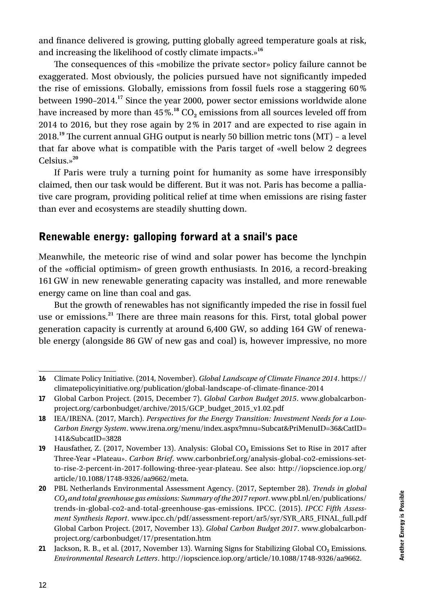and finance delivered is growing, putting globally agreed temperature goals at risk, and increasing the likelihood of costly climate impacts.»**<sup>16</sup>**

The consequences of this «mobilize the private sector» policy failure cannot be exaggerated. Most obviously, the policies pursued have not significantly impeded the rise of emissions. Globally, emissions from fossil fuels rose a staggering 60% between 1990–2014.**<sup>17</sup>** Since the year 2000, power sector emissions worldwide alone have increased by more than  $45\%$ .<sup>18</sup> CO<sub>2</sub> emissions from all sources leveled off from 2014 to 2016, but they rose again by 2% in 2017 and are expected to rise again in 2018.**<sup>19</sup>** The current annual GHG output is nearly 50 billion metric tons (MT) – a level that far above what is compatible with the Paris target of «well below 2 degrees Celsius.»**<sup>20</sup>**

If Paris were truly a turning point for humanity as some have irresponsibly claimed, then our task would be different. But it was not. Paris has become a palliative care program, providing political relief at time when emissions are rising faster than ever and ecosystems are steadily shutting down.

#### Renewable energy: galloping forward at a snail's pace

Meanwhile, the meteoric rise of wind and solar power has become the lynchpin of the «official optimism» of green growth enthusiasts. In 2016, a record-breaking 161GW in new renewable generating capacity was installed, and more renewable energy came on line than coal and gas.

But the growth of renewables has not significantly impeded the rise in fossil fuel use or emissions.**<sup>21</sup>** There are three main reasons for this. First, total global power generation capacity is currently at around 6,400 GW, so adding 164 GW of renewable energy (alongside 86 GW of new gas and coal) is, however impressive, no more

<sup>16</sup> Climate Policy Initiative. (2014, November). *Global Landscape of Climate Finance 2014*. https:// climatepolicyinitiative.org/publication/global-landscape-of-climate-finance-2014

<sup>17</sup> Global Carbon Project. (2015, December 7). *Global Carbon Budget 2015*. www.globalcarbonproject.org/carbonbudget/archive/2015/GCP\_budget\_2015\_v1.02.pdf

<sup>18</sup> IEA/IRENA. (2017, March). *Perspectives for the Energy Transition: Investment Needs for a Low-Carbon Energy System*. www.irena.org/menu/index.aspx?mnu=Subcat&PriMenuID=36&CatID= 141&SubcatID=3828

<sup>19</sup> Hausfather, Z. (2017, November 13). Analysis: Global CO**2** Emissions Set to Rise in 2017 after Three-Year «Plateau». *Carbon Brief*. www.carbonbrief.org/analysis-global-co2-emissions-setto-rise-2-percent-in-2017-following-three-year-plateau. See also: http://iopscience.iop.org/ article/10.1088/1748-9326/aa9662/meta.

<sup>20</sup> PBL Netherlands Environmental Assessment Agency. (2017, September 28). *Trends in global CO2 and total greenhouse gas emissions: Summary of the 2017 report*. www.pbl.nl/en/publications/ trends-in-global-co2-and-total-greenhouse-gas-emissions. IPCC. (2015). *IPCC Fifth Assessment Synthesis Report*. www.ipcc.ch/pdf/assessment-report/ar5/syr/SYR\_AR5\_FINAL\_full.pdf Global Carbon Project. (2017, November 13). *Global Carbon Budget 2017*. www.globalcarbonproject.org/carbonbudget/17/presentation.htm

<sup>21</sup> Jackson, R. B., et al. (2017, November 13). Warning Signs for Stabilizing Global CO<sub>2</sub> Emissions. *Environmental Research Letters*. http://iopscience.iop.org/article/10.1088/1748-9326/aa9662.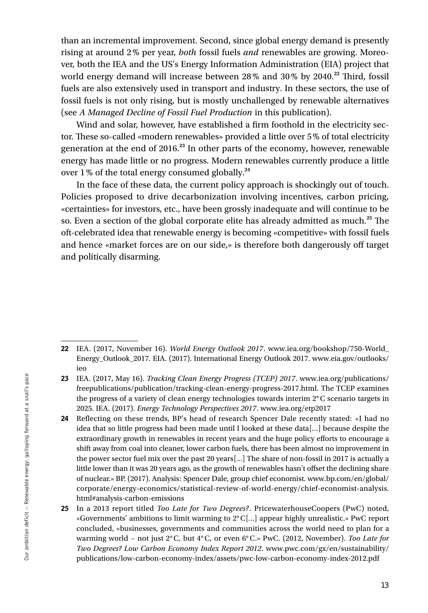than an incremental improvement. Second, since global energy demand is presently rising at around 2% per year, *both* fossil fuels *and* renewables are growing. Moreover, both the IEA and the US's Energy Information Administration (EIA) project that world energy demand will increase between 28% and 30% by 2040.**<sup>22</sup>** Third, fossil fuels are also extensively used in transport and industry. In these sectors, the use of fossil fuels is not only rising, but is mostly unchallenged by renewable alternatives (see *A Managed Decline of Fossil Fuel Production* in this publication).

Wind and solar, however, have established a firm foothold in the electricity sector. These so-called «modern renewables» provided a little over 5% of total electricity generation at the end of 2016.**<sup>23</sup>** In other parts of the economy, however, renewable energy has made little or no progress. Modern renewables currently produce a little over 1% of the total energy consumed globally.**<sup>24</sup>**

In the face of these data, the current policy approach is shockingly out of touch. Policies proposed to drive decarbonization involving incentives, carbon pricing, «certainties» for investors, etc., have been grossly inadequate and will continue to be so. Even a section of the global corporate elite has already admitted as much.**<sup>25</sup>** The oft-celebrated idea that renewable energy is becoming «competitive» with fossil fuels and hence «market forces are on our side,» is therefore both dangerously off target and politically disarming.

<sup>22</sup> IEA. (2017, November 16). *World Energy Outlook 2017*. www.iea.org/bookshop/750-World\_ Energy\_Outlook\_2017. EIA. (2017). International Energy Outlook 2017. www.eia.gov/outlooks/ ieo

<sup>23</sup> IEA. (2017, May 16). *Tracking Clean Energy Progress (TCEP) 2017*. www.iea.org/publications/ freepublications/publication/tracking-clean-energy-progress-2017.html. The TCEP examines the progress of a variety of clean energy technologies towards interim 2°C scenario targets in 2025. IEA. (2017). *Energy Technology Perspectives 2017*. www.iea.org/etp2017

<sup>24</sup> Reflecting on these trends, BP's head of research Spencer Dale recently stated: «I had no idea that so little progress had been made until I looked at these data[…] because despite the extraordinary growth in renewables in recent years and the huge policy efforts to encourage a shift away from coal into cleaner, lower carbon fuels, there has been almost no improvement in the power sector fuel mix over the past 20 years[…] The share of non-fossil in 2017 is actually a little lower than it was 20 years ago, as the growth of renewables hasn't offset the declining share of nuclear.» BP. (2017). Analysis: Spencer Dale, group chief economist. www.bp.com/en/global/ corporate/energy-economics/statistical-review-of-world-energy/chief-economist-analysis. html#analysis-carbon-emissions

<sup>25</sup> In a 2013 report titled *Too Late for Two Degrees?*. PricewaterhouseCoopers (PwC) noted, «Governments' ambitions to limit warming to 2°C[…] appear highly unrealistic.» PwC report concluded, «businesses, governments and communities across the world need to plan for a warming world – not just 2°C, but 4°C, or even 6°C.» PwC. (2012, November). *Too Late for Two Degrees? Low Carbon Economy Index Report 2012*. www.pwc.com/gx/en/sustainability/ publications/low-carbon-economy-index/assets/pwc-low-carbon-economy-index-2012.pdf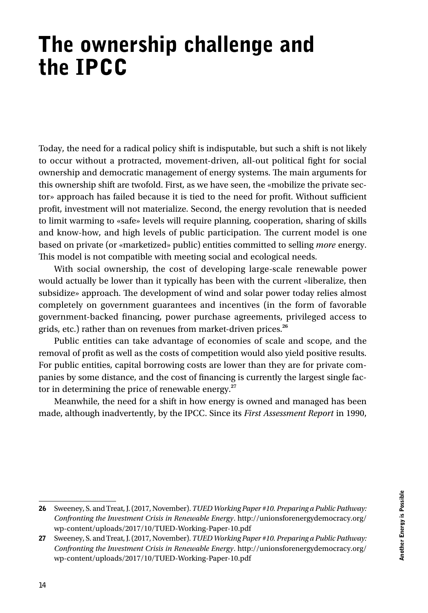## The ownership challenge and the IPCC

Today, the need for a radical policy shift is indisputable, but such a shift is not likely to occur without a protracted, movement-driven, all-out political fight for social ownership and democratic management of energy systems. The main arguments for this ownership shift are twofold. First, as we have seen, the «mobilize the private sector» approach has failed because it is tied to the need for profit. Without sufficient profit, investment will not materialize. Second, the energy revolution that is needed to limit warming to «safe» levels will require planning, cooperation, sharing of skills and know-how, and high levels of public participation. The current model is one based on private (or «marketized» public) entities committed to selling *more* energy. This model is not compatible with meeting social and ecological needs.

With social ownership, the cost of developing large-scale renewable power would actually be lower than it typically has been with the current «liberalize, then subsidize» approach. The development of wind and solar power today relies almost completely on government guarantees and incentives (in the form of favorable government-backed financing, power purchase agreements, privileged access to grids, etc.) rather than on revenues from market-driven prices.**<sup>26</sup>**

Public entities can take advantage of economies of scale and scope, and the removal of profit as well as the costs of competition would also yield positive results. For public entities, capital borrowing costs are lower than they are for private companies by some distance, and the cost of financing is currently the largest single factor in determining the price of renewable energy.**<sup>27</sup>**

Meanwhile, the need for a shift in how energy is owned and managed has been made, although inadvertently, by the IPCC. Since its *First Assessment Report* in 1990,

<sup>26</sup> Sweeney, S. and Treat, J. (2017, November). *TUED Working Paper #10. Preparing a Public Pathway: Confronting the Investment Crisis in Renewable Energy*. http://unionsforenergydemocracy.org/ wp-content/uploads/2017/10/TUED-Working-Paper-10.pdf

<sup>27</sup> Sweeney, S. and Treat, J. (2017, November). *TUED Working Paper #10. Preparing a Public Pathway: Confronting the Investment Crisis in Renewable Energy*. http://unionsforenergydemocracy.org/ wp-content/uploads/2017/10/TUED-Working-Paper-10.pdf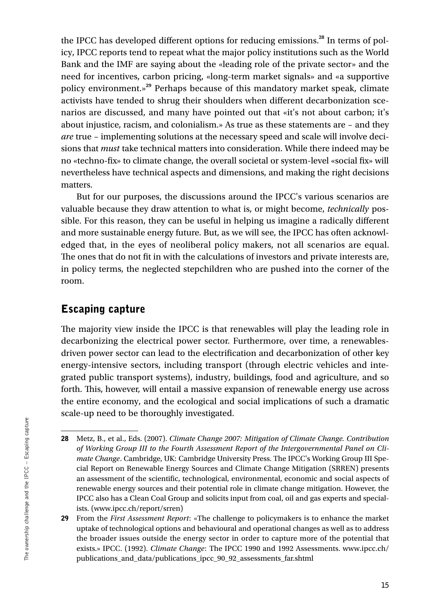the IPCC has developed different options for reducing emissions.**<sup>28</sup>** In terms of policy, IPCC reports tend to repeat what the major policy institutions such as the World Bank and the IMF are saying about the «leading role of the private sector» and the need for incentives, carbon pricing, «long-term market signals» and «a supportive policy environment.»**<sup>29</sup>** Perhaps because of this mandatory market speak, climate activists have tended to shrug their shoulders when different decarbonization scenarios are discussed, and many have pointed out that «it's not about carbon; it's about injustice, racism, and colonialism.» As true as these statements are – and they *are* true – implementing solutions at the necessary speed and scale will involve decisions that *must* take technical matters into consideration. While there indeed may be no «techno-fix» to climate change, the overall societal or system-level «social fix» will nevertheless have technical aspects and dimensions, and making the right decisions matters.

But for our purposes, the discussions around the IPCC's various scenarios are valuable because they draw attention to what is, or might become, *technically* possible. For this reason, they can be useful in helping us imagine a radically different and more sustainable energy future. But, as we will see, the IPCC has often acknowledged that, in the eyes of neoliberal policy makers, not all scenarios are equal. The ones that do not fit in with the calculations of investors and private interests are, in policy terms, the neglected stepchildren who are pushed into the corner of the room.

#### Escaping capture

The majority view inside the IPCC is that renewables will play the leading role in decarbonizing the electrical power sector. Furthermore, over time, a renewablesdriven power sector can lead to the electrification and decarbonization of other key energy-intensive sectors, including transport (through electric vehicles and integrated public transport systems), industry, buildings, food and agriculture, and so forth. This, however, will entail a massive expansion of renewable energy use across the entire economy, and the ecological and social implications of such a dramatic scale-up need to be thoroughly investigated.

<sup>28</sup> Metz, B., et al., Eds. (2007). *Climate Change 2007: Mitigation of Climate Change. Contribution of Working Group III to the Fourth Assessment Report of the Intergovernmental Panel on Climate Change*. Cambridge, UK: Cambridge University Press. The IPCC's Working Group III Special Report on Renewable Energy Sources and Climate Change Mitigation (SRREN) presents an assessment of the scientific, technological, environmental, economic and social aspects of renewable energy sources and their potential role in climate change mitigation. However, the IPCC also has a Clean Coal Group and solicits input from coal, oil and gas experts and specialists. (www.ipcc.ch/report/srren)

<sup>29</sup> From the *First Assessment Report*: «The challenge to policymakers is to enhance the market uptake of technological options and behavioural and operational changes as well as to address the broader issues outside the energy sector in order to capture more of the potential that exists.» IPCC. (1992). *Climate Change*: The IPCC 1990 and 1992 Assessments. www.ipcc.ch/ publications\_and\_data/publications\_ipcc\_90\_92\_assessments\_far.shtml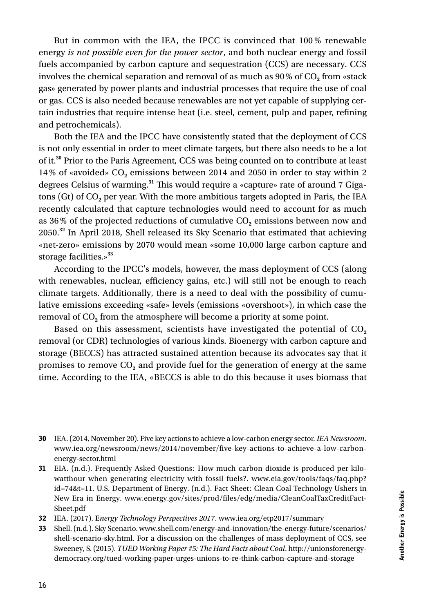But in common with the IEA, the IPCC is convinced that 100 % renewable energy *is not possible even for the power sector*, and both nuclear energy and fossil fuels accompanied by carbon capture and sequestration (CCS) are necessary. CCS involves the chemical separation and removal of as much as 90% of CO<sub>2</sub> from «stack gas» generated by power plants and industrial processes that require the use of coal or gas. CCS is also needed because renewables are not yet capable of supplying certain industries that require intense heat (i.e. steel, cement, pulp and paper, refining and petrochemicals).

Both the IEA and the IPCC have consistently stated that the deployment of CCS is not only essential in order to meet climate targets, but there also needs to be a lot of it.**<sup>30</sup>** Prior to the Paris Agreement, CCS was being counted on to contribute at least 14% of «avoided» CO**2** emissions between 2014 and 2050 in order to stay within 2 degrees Celsius of warming.**<sup>31</sup>** This would require a «capture» rate of around 7 Gigatons (Gt) of CO**2** per year. With the more ambitious targets adopted in Paris, the IEA recently calculated that capture technologies would need to account for as much as 36% of the projected reductions of cumulative CO**2** emissions between now and 2050.**<sup>32</sup>** In April 2018, Shell released its Sky Scenario that estimated that achieving «net-zero» emissions by 2070 would mean «some 10,000 large carbon capture and storage facilities.»**<sup>33</sup>**

According to the IPCC's models, however, the mass deployment of CCS (along with renewables, nuclear, efficiency gains, etc.) will still not be enough to reach climate targets. Additionally, there is a need to deal with the possibility of cumulative emissions exceeding «safe» levels (emissions «overshoot»), in which case the removal of CO**2** from the atmosphere will become a priority at some point.

Based on this assessment, scientists have investigated the potential of CO<sub>2</sub> removal (or CDR) technologies of various kinds. Bioenergy with carbon capture and storage (BECCS) has attracted sustained attention because its advocates say that it promises to remove CO**2** and provide fuel for the generation of energy at the same time. According to the IEA, «BECCS is able to do this because it uses biomass that

<sup>30</sup> IEA. (2014, November 20). Five key actions to achieve a low-carbon energy sector. *IEA Newsroom*. www.iea.org/newsroom/news/2014/november/five-key-actions-to-achieve-a-low-carbonenergy-sector.html

<sup>31</sup> EIA. (n.d.). Frequently Asked Questions: How much carbon dioxide is produced per kilowatthour when generating electricity with fossil fuels?. www.eia.gov/tools/faqs/faq.php? id=74&t=11. U.S. Department of Energy. (n.d.). Fact Sheet: Clean Coal Technology Ushers in New Era in Energy. www.energy.gov/sites/prod/files/edg/media/CleanCoalTaxCreditFact-Sheet.pdf

<sup>32</sup> IEA. (2017). E*nergy Technology Perspectives 2017*. www.iea.org/etp2017/summary

<sup>33</sup> Shell. (n.d.). Sky Scenario. www.shell.com/energy-and-innovation/the-energy-future/scenarios/ shell-scenario-sky.html. For a discussion on the challenges of mass deployment of CCS, see Sweeney, S. (2015). *TUED Working Paper #5: The Hard Facts about Coal*. http://unionsforenergydemocracy.org/tued-working-paper-urges-unions-to-re-think-carbon-capture-and-storage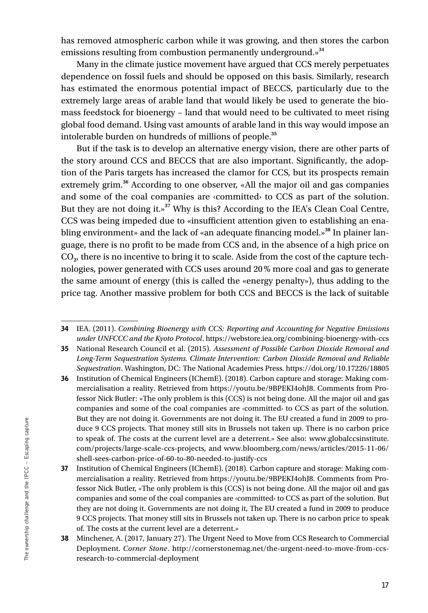has removed atmospheric carbon while it was growing, and then stores the carbon emissions resulting from combustion permanently underground.»**<sup>34</sup>**

Many in the climate justice movement have argued that CCS merely perpetuates dependence on fossil fuels and should be opposed on this basis. Similarly, research has estimated the enormous potential impact of BECCS, particularly due to the extremely large areas of arable land that would likely be used to generate the biomass feedstock for bioenergy – land that would need to be cultivated to meet rising global food demand. Using vast amounts of arable land in this way would impose an intolerable burden on hundreds of millions of people.**<sup>35</sup>**

But if the task is to develop an alternative energy vision, there are other parts of the story around CCS and BECCS that are also important. Significantly, the adoption of the Paris targets has increased the clamor for CCS, but its prospects remain extremely grim.**<sup>36</sup>** According to one observer, «All the major oil and gas companies and some of the coal companies are ‹committed› to CCS as part of the solution. But they are not doing it.»**<sup>37</sup>** Why is this? According to the IEA's Clean Coal Centre, CCS was being impeded due to «insufficient attention given to establishing an enabling environment» and the lack of «an adequate financing model.»**<sup>38</sup>** In plainer language, there is no profit to be made from CCS and, in the absence of a high price on CO**2**, there is no incentive to bring it to scale. Aside from the cost of the capture technologies, power generated with CCS uses around 20% more coal and gas to generate the same amount of energy (this is called the «energy penalty»), thus adding to the price tag. Another massive problem for both CCS and BECCS is the lack of suitable

<sup>34</sup> IEA. (2011). *Combining Bioenergy with CCS: Reporting and Accounting for Negative Emissions under UNFCCC and the Kyoto Protocol*. https://webstore.iea.org/combining-bioenergy-with-ccs

<sup>35</sup> National Research Council et al. (2015). *Assessment of Possible Carbon Dioxide Removal and Long-Term Sequestration Systems. Climate Intervention: Carbon Dioxide Removal and Reliable Sequestration*. Washington, DC: The National Academies Press. https://doi.org/10.17226/18805

<sup>36</sup> Institution of Chemical Engineers (IChemE). (2018). Carbon capture and storage: Making commercialisation a reality. Retrieved from https://youtu.be/9BPEKI4ohJ8. Comments from Professor Nick Butler: «The only problem is this (CCS) is not being done. All the major oil and gas companies and some of the coal companies are ‹committed› to CCS as part of the solution. But they are not doing it. Governments are not doing it. The EU created a fund in 2009 to produce 9 CCS projects. That money still sits in Brussels not taken up. There is no carbon price to speak of. The costs at the current level are a deterrent.» See also: www.globalccsinstitute. com/projects/large-scale-ccs-projects, and www.bloomberg.com/news/articles/2015-11-06/ shell-sees-carbon-price-of-60-to-80-needed-to-justify-ccs

<sup>37</sup> Institution of Chemical Engineers (IChemE). (2018). Carbon capture and storage: Making commercialisation a reality. Retrieved from https://youtu.be/9BPEKI4ohJ8. Comments from Professor Nick Butler, «The only problem is this (CCS) is not being done. All the major oil and gas companies and some of the coal companies are ‹committed› to CCS as part of the solution. But they are not doing it. Governments are not doing it, The EU created a fund in 2009 to produce 9 CCS projects. That money still sits in Brussels not taken up. There is no carbon price to speak of. The costs at the current level are a deterrent.»

<sup>38</sup> Minchener, A. (2017, January 27). The Urgent Need to Move from CCS Research to Commercial Deployment. *Corner Stone*. http://cornerstonemag.net/the-urgent-need-to-move-from-ccsresearch-to-commercial-deployment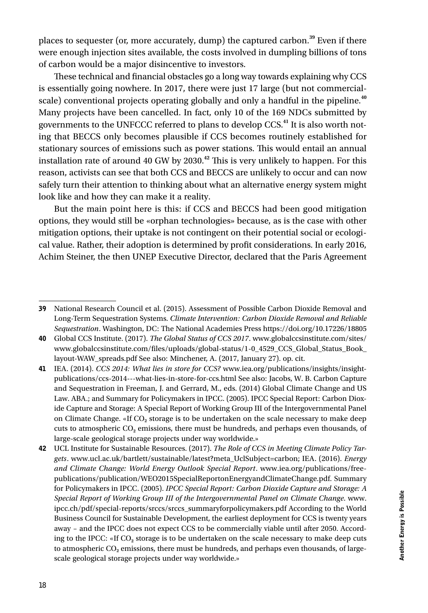places to sequester (or, more accurately, dump) the captured carbon.**<sup>39</sup>** Even if there were enough injection sites available, the costs involved in dumpling billions of tons of carbon would be a major disincentive to investors.

These technical and financial obstacles go a long way towards explaining why CCS is essentially going nowhere. In 2017, there were just 17 large (but not commercialscale) conventional projects operating globally and only a handful in the pipeline.**<sup>40</sup>** Many projects have been cancelled. In fact, only 10 of the 169 NDCs submitted by governments to the UNFCCC referred to plans to develop CCS.**<sup>41</sup>** It is also worth noting that BECCS only becomes plausible if CCS becomes routinely established for stationary sources of emissions such as power stations. This would entail an annual installation rate of around 40 GW by 2030.**<sup>42</sup>** This is very unlikely to happen. For this reason, activists can see that both CCS and BECCS are unlikely to occur and can now safely turn their attention to thinking about what an alternative energy system might look like and how they can make it a reality.

But the main point here is this: if CCS and BECCS had been good mitigation options, they would still be «orphan technologies» because, as is the case with other mitigation options, their uptake is not contingent on their potential social or ecological value. Rather, their adoption is determined by profit considerations. In early 2016, Achim Steiner, the then UNEP Executive Director, declared that the Paris Agreement

<sup>39</sup> National Research Council et al. (2015). Assessment of Possible Carbon Dioxide Removal and Long-Term Sequestration Systems. *Climate Intervention: Carbon Dioxide Removal and Reliable Sequestration*. Washington, DC: The National Academies Press https://doi.org/10.17226/18805

<sup>40</sup> Global CCS Institute. (2017). *The Global Status of CCS 2017*. www.globalccsinstitute.com/sites/ www.globalccsinstitute.com/files/uploads/global-status/1-0\_4529\_CCS\_Global\_Status\_Book\_ layout-WAW\_spreads.pdf See also: Minchener, A. (2017, January 27). op. cit.

<sup>41</sup> IEA. (2014). *CCS 2014: What lies in store for CCS?* www.iea.org/publications/insights/insightpublications/ccs-2014---what-lies-in-store-for-ccs.html See also: Jacobs, W. B. Carbon Capture and Sequestration in Freeman, J. and Gerrard, M., eds. (2014) Global Climate Change and US Law. ABA.; and Summary for Policymakers in IPCC. (2005). IPCC Special Report: Carbon Dioxide Capture and Storage: A Special Report of Working Group III of the Intergovernmental Panel on Climate Change. «If CO**2** storage is to be undertaken on the scale necessary to make deep cuts to atmospheric CO**2** emissions, there must be hundreds, and perhaps even thousands, of large-scale geological storage projects under way worldwide.»

<sup>42</sup> UCL Institute for Sustainable Resources. (2017). *The Role of CCS in Meeting Climate Policy Targets*. www.ucl.ac.uk/bartlett/sustainable/latest?meta\_UclSubject=carbon; IEA. (2016). *Energy and Climate Change: World Energy Outlook Special Report*. www.iea.org/publications/freepublications/publication/WEO2015SpecialReportonEnergyandClimateChange.pdf. Summary for Policymakers in IPCC. (2005). *IPCC Special Report: Carbon Dioxide Capture and Storage: A Special Report of Working Group III of the Intergovernmental Panel on Climate Change*. www. ipcc.ch/pdf/special-reports/srccs/srccs\_summaryforpolicymakers.pdf According to the World Business Council for Sustainable Development, the earliest deployment for CCS is twenty years away – and the IPCC does not expect CCS to be commercially viable until after 2050. According to the IPCC: «If CO**2** storage is to be undertaken on the scale necessary to make deep cuts to atmospheric CO**2** emissions, there must be hundreds, and perhaps even thousands, of largescale geological storage projects under way worldwide.»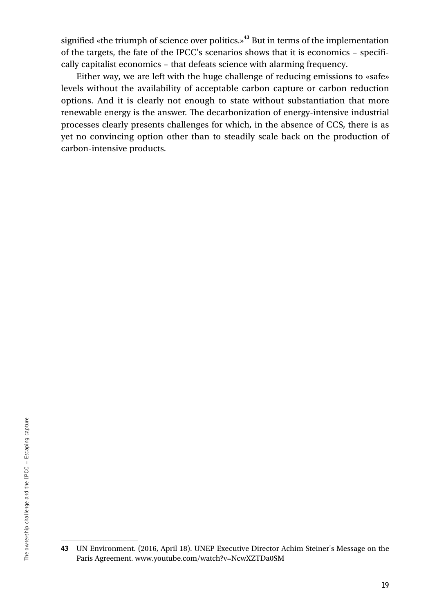signified «the triumph of science over politics.»**<sup>43</sup>** But in terms of the implementation of the targets, the fate of the IPCC's scenarios shows that it is economics – specifically capitalist economics – that defeats science with alarming frequency.

Either way, we are left with the huge challenge of reducing emissions to «safe» levels without the availability of acceptable carbon capture or carbon reduction options. And it is clearly not enough to state without substantiation that more renewable energy is the answer. The decarbonization of energy-intensive industrial processes clearly presents challenges for which, in the absence of CCS, there is as yet no convincing option other than to steadily scale back on the production of carbon-intensive products.

<sup>43</sup> UN Environment. (2016, April 18). UNEP Executive Director Achim Steiner's Message on the Paris Agreement. www.youtube.com/watch?v=NcwXZTDa0SM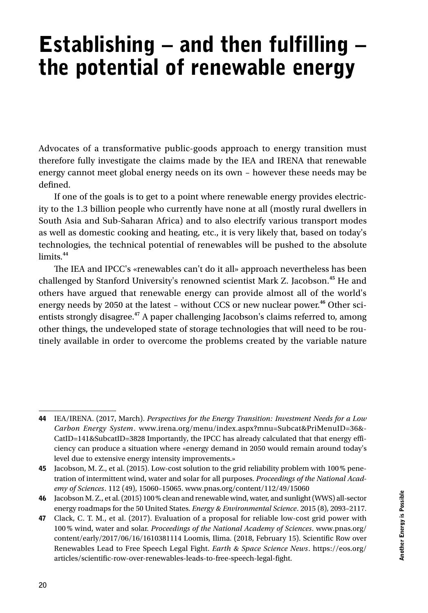# Establishing  $-$  and then fulfilling  $$ the potential of renewable energy

Advocates of a transformative public-goods approach to energy transition must therefore fully investigate the claims made by the IEA and IRENA that renewable energy cannot meet global energy needs on its own – however these needs may be defined.

If one of the goals is to get to a point where renewable energy provides electricity to the 1.3 billion people who currently have none at all (mostly rural dwellers in South Asia and Sub-Saharan Africa) and to also electrify various transport modes as well as domestic cooking and heating, etc., it is very likely that, based on today's technologies, the technical potential of renewables will be pushed to the absolute limits.**<sup>44</sup>**

The IEA and IPCC's «renewables can't do it all» approach nevertheless has been challenged by Stanford University's renowned scientist Mark Z. Jacobson.**<sup>45</sup>** He and others have argued that renewable energy can provide almost all of the world's energy needs by 2050 at the latest – without CCS or new nuclear power.**<sup>46</sup>** Other scientists strongly disagree.**<sup>47</sup>** A paper challenging Jacobson's claims referred to, among other things, the undeveloped state of storage technologies that will need to be routinely available in order to overcome the problems created by the variable nature

<sup>44</sup> IEA/IRENA. (2017, March). *Perspectives for the Energy Transition: Investment Needs for a Low Carbon Energy System*. www.irena.org/menu/index.aspx?mnu=Subcat&PriMenuID=36&- CatID=141&SubcatID=3828 Importantly, the IPCC has already calculated that that energy efficiency can produce a situation where «energy demand in 2050 would remain around today's level due to extensive energy intensity improvements.»

<sup>45</sup> Jacobson, M. Z., et al. (2015). Low-cost solution to the grid reliability problem with 100% penetration of intermittent wind, water and solar for all purposes. *Proceedings of the National Academy of Sciences*. 112 (49), 15060–15065. www.pnas.org/content/112/49/15060

<sup>46</sup> Jacobson M. Z., et al. (2015) 100% clean and renewable wind, water, and sunlight (WWS) all-sector energy roadmaps for the 50 United States. *Energy & Environmental Science*. 2015 (8), 2093–2117.

<sup>47</sup> Clack, C. T. M., et al. (2017). Evaluation of a proposal for reliable low-cost grid power with 100% wind, water and solar. *Proceedings of the National Academy of Sciences*. www.pnas.org/ content/early/2017/06/16/1610381114 Loomis, Ilima. (2018, February 15). Scientific Row over Renewables Lead to Free Speech Legal Fight. *Earth & Space Science News*. https://eos.org/ articles/scientific-row-over-renewables-leads-to-free-speech-legal-fight.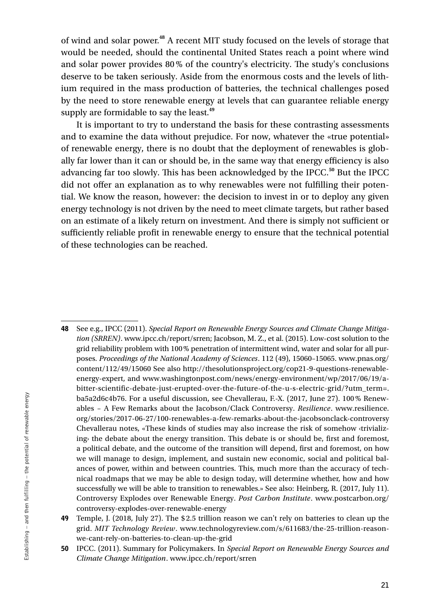of wind and solar power.**<sup>48</sup>** A recent MIT study focused on the levels of storage that would be needed, should the continental United States reach a point where wind and solar power provides 80% of the country's electricity. The study's conclusions deserve to be taken seriously. Aside from the enormous costs and the levels of lithium required in the mass production of batteries, the technical challenges posed by the need to store renewable energy at levels that can guarantee reliable energy supply are formidable to say the least.**<sup>49</sup>**

It is important to try to understand the basis for these contrasting assessments and to examine the data without prejudice. For now, whatever the «true potential» of renewable energy, there is no doubt that the deployment of renewables is globally far lower than it can or should be, in the same way that energy efficiency is also advancing far too slowly. This has been acknowledged by the IPCC.**<sup>50</sup>** But the IPCC did not offer an explanation as to why renewables were not fulfilling their potential. We know the reason, however: the decision to invest in or to deploy any given energy technology is not driven by the need to meet climate targets, but rather based on an estimate of a likely return on investment. And there is simply not sufficient or sufficiently reliable profit in renewable energy to ensure that the technical potential of these technologies can be reached.

- 48 See e.g., IPCC (2011). *Special Report on Renewable Energy Sources and Climate Change Mitigation (SRREN)*. www.ipcc.ch/report/srren; Jacobson, M. Z., et al. (2015). Low-cost solution to the grid reliability problem with 100% penetration of intermittent wind, water and solar for all purposes. *Proceedings of the National Academy of Sciences*. 112 (49), 15060–15065. www.pnas.org/ content/112/49/15060 See also http://thesolutionsproject.org/cop21-9-questions-renewableenergy-expert, and www.washingtonpost.com/news/energy-environment/wp/2017/06/19/abitter-scientific-debate-just-erupted-over-the-future-of-the-u-s-electric-grid/?utm\_term=. ba5a2d6c4b76. For a useful discussion, see Chevallerau, F.-X. (2017, June 27). 100% Renewables – A Few Remarks about the Jacobson/Clack Controversy. *Resilience*. www.resilience. org/stories/2017-06-27/100-renewables-a-few-remarks-about-the-jacobsonclack-controversy Chevallerau notes, «These kinds of studies may also increase the risk of somehow ‹trivializing› the debate about the energy transition. This debate is or should be, first and foremost, a political debate, and the outcome of the transition will depend, first and foremost, on how we will manage to design, implement, and sustain new economic, social and political balances of power, within and between countries. This, much more than the accuracy of technical roadmaps that we may be able to design today, will determine whether, how and how successfully we will be able to transition to renewables.» See also: Heinberg, R. (2017, July 11). Controversy Explodes over Renewable Energy. *Post Carbon Institute*. www.postcarbon.org/ controversy-explodes-over-renewable-energy
- 49 Temple, J. (2018, July 27). The \$ 2.5 trillion reason we can't rely on batteries to clean up the grid. *MIT Technology Review*. www.technologyreview.com/s/611683/the-25-trillion-reasonwe-cant-rely-on-batteries-to-clean-up-the-grid
- 50 IPCC. (2011). Summary for Policymakers. In *Special Report on Renewable Energy Sources and Climate Change Mitigation*. www.ipcc.ch/report/srren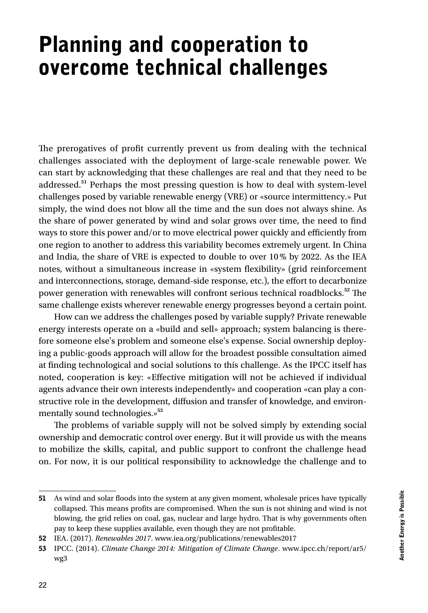# Planning and cooperation to overcome technical challenges

The prerogatives of profit currently prevent us from dealing with the technical challenges associated with the deployment of large-scale renewable power. We can start by acknowledging that these challenges are real and that they need to be addressed.**<sup>51</sup>** Perhaps the most pressing question is how to deal with system-level challenges posed by variable renewable energy (VRE) or «source intermittency.» Put simply, the wind does not blow all the time and the sun does not always shine. As the share of power generated by wind and solar grows over time, the need to find ways to store this power and/or to move electrical power quickly and efficiently from one region to another to address this variability becomes extremely urgent. In China and India, the share of VRE is expected to double to over 10% by 2022. As the IEA notes, without a simultaneous increase in «system flexibility» (grid reinforcement and interconnections, storage, demand-side response, etc.), the effort to decarbonize power generation with renewables will confront serious technical roadblocks.**<sup>52</sup>** The same challenge exists wherever renewable energy progresses beyond a certain point.

How can we address the challenges posed by variable supply? Private renewable energy interests operate on a «build and sell» approach; system balancing is therefore someone else's problem and someone else's expense. Social ownership deploying a public-goods approach will allow for the broadest possible consultation aimed at finding technological and social solutions to this challenge. As the IPCC itself has noted, cooperation is key: «Effective mitigation will not be achieved if individual agents advance their own interests independently» and cooperation «can play a constructive role in the development, diffusion and transfer of knowledge, and environmentally sound technologies.»**<sup>53</sup>**

The problems of variable supply will not be solved simply by extending social ownership and democratic control over energy. But it will provide us with the means to mobilize the skills, capital, and public support to confront the challenge head on. For now, it is our political responsibility to acknowledge the challenge and to

<sup>51</sup> As wind and solar floods into the system at any given moment, wholesale prices have typically collapsed. This means profits are compromised. When the sun is not shining and wind is not blowing, the grid relies on coal, gas, nuclear and large hydro. That is why governments often pay to keep these supplies available, even though they are not profitable.

<sup>52</sup> IEA. (2017). *Renewables 2017*. www.iea.org/publications/renewables2017

<sup>53</sup> IPCC. (2014). *Climate Change 2014: Mitigation of Climate Change*. www.ipcc.ch/report/ar5/ wg3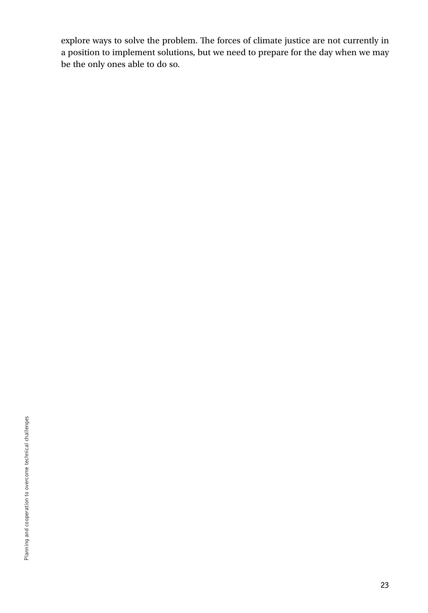explore ways to solve the problem. The forces of climate justice are not currently in a position to implement solutions, but we need to prepare for the day when we may be the only ones able to do so.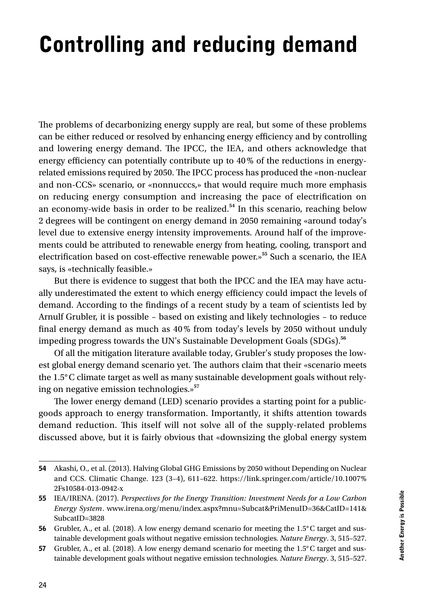# Controlling and reducing demand

The problems of decarbonizing energy supply are real, but some of these problems can be either reduced or resolved by enhancing energy efficiency and by controlling and lowering energy demand. The IPCC, the IEA, and others acknowledge that energy efficiency can potentially contribute up to 40% of the reductions in energyrelated emissions required by 2050. The IPCC process has produced the «non-nuclear and non-CCS» scenario, or «nonnucccs,» that would require much more emphasis on reducing energy consumption and increasing the pace of electrification on an economy-wide basis in order to be realized.**<sup>54</sup>** In this scenario, reaching below 2 degrees will be contingent on energy demand in 2050 remaining «around today's level due to extensive energy intensity improvements. Around half of the improvements could be attributed to renewable energy from heating, cooling, transport and electrification based on cost-effective renewable power.»**<sup>55</sup>** Such a scenario, the IEA says, is «technically feasible.»

But there is evidence to suggest that both the IPCC and the IEA may have actually underestimated the extent to which energy efficiency could impact the levels of demand. According to the findings of a recent study by a team of scientists led by Arnulf Grubler, it is possible – based on existing and likely technologies – to reduce final energy demand as much as 40% from today's levels by 2050 without unduly impeding progress towards the UN's Sustainable Development Goals (SDGs).**<sup>56</sup>**

Of all the mitigation literature available today, Grubler's study proposes the lowest global energy demand scenario yet. The authors claim that their «scenario meets the 1.5°C climate target as well as many sustainable development goals without relying on negative emission technologies.»**<sup>57</sup>**

The lower energy demand (LED) scenario provides a starting point for a publicgoods approach to energy transformation. Importantly, it shifts attention towards demand reduction. This itself will not solve all of the supply-related problems discussed above, but it is fairly obvious that «downsizing the global energy system

<sup>54</sup> Akashi, O., et al. (2013). Halving Global GHG Emissions by 2050 without Depending on Nuclear and CCS. Climatic Change. 123 (3–4), 611–622. https://link.springer.com/article/10.1007% 2Fs10584-013-0942-x

<sup>55</sup> IEA/IRENA. (2017). *Perspectives for the Energy Transition: Investment Needs for a Low Carbon Energy System*. www.irena.org/menu/index.aspx?mnu=Subcat&PriMenuID=36&CatID=141& SubcatID=3828

<sup>56</sup> Grubler, A., et al. (2018). A low energy demand scenario for meeting the 1.5°C target and sustainable development goals without negative emission technologies. *Nature Energy*. 3, 515–527.

<sup>57</sup> Grubler, A., et al. (2018). A low energy demand scenario for meeting the 1.5°C target and sustainable development goals without negative emission technologies. *Nature Energy*. 3, 515–527.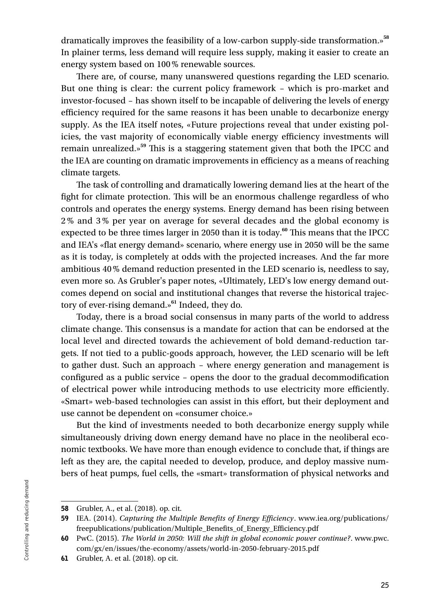dramatically improves the feasibility of a low-carbon supply-side transformation.»**<sup>58</sup>** In plainer terms, less demand will require less supply, making it easier to create an energy system based on 100% renewable sources.

There are, of course, many unanswered questions regarding the LED scenario. But one thing is clear: the current policy framework – which is pro-market and investor-focused – has shown itself to be incapable of delivering the levels of energy efficiency required for the same reasons it has been unable to decarbonize energy supply. As the IEA itself notes, «Future projections reveal that under existing policies, the vast majority of economically viable energy efficiency investments will remain unrealized.»**<sup>59</sup>** This is a staggering statement given that both the IPCC and the IEA are counting on dramatic improvements in efficiency as a means of reaching climate targets.

The task of controlling and dramatically lowering demand lies at the heart of the fight for climate protection. This will be an enormous challenge regardless of who controls and operates the energy systems. Energy demand has been rising between 2% and 3% per year on average for several decades and the global economy is expected to be three times larger in 2050 than it is today.**<sup>60</sup>** This means that the IPCC and IEA's «flat energy demand» scenario, where energy use in 2050 will be the same as it is today, is completely at odds with the projected increases. And the far more ambitious 40% demand reduction presented in the LED scenario is, needless to say, even more so. As Grubler's paper notes, «Ultimately, LED's low energy demand outcomes depend on social and institutional changes that reverse the historical trajectory of ever-rising demand.»**<sup>61</sup>** Indeed, they do.

Today, there is a broad social consensus in many parts of the world to address climate change. This consensus is a mandate for action that can be endorsed at the local level and directed towards the achievement of bold demand-reduction targets. If not tied to a public-goods approach, however, the LED scenario will be left to gather dust. Such an approach – where energy generation and management is configured as a public service – opens the door to the gradual decommodification of electrical power while introducing methods to use electricity more efficiently. «Smart» web-based technologies can assist in this effort, but their deployment and use cannot be dependent on «consumer choice.»

But the kind of investments needed to both decarbonize energy supply while simultaneously driving down energy demand have no place in the neoliberal economic textbooks. We have more than enough evidence to conclude that, if things are left as they are, the capital needed to develop, produce, and deploy massive numbers of heat pumps, fuel cells, the «smart» transformation of physical networks and

<sup>58</sup> Grubler, A., et al. (2018). op. cit.

<sup>59</sup> IEA. (2014). *Capturing the Multiple Benefits of Energy Efficiency*. www.iea.org/publications/ freepublications/publication/Multiple\_Benefits\_of\_Energy\_Efficiency.pdf

<sup>60</sup> PwC. (2015). *The World in 2050: Will the shift in global economic power continue?*. www.pwc. com/gx/en/issues/the-economy/assets/world-in-2050-february-2015.pdf

<sup>61</sup> Grubler, A. et al. (2018). op cit.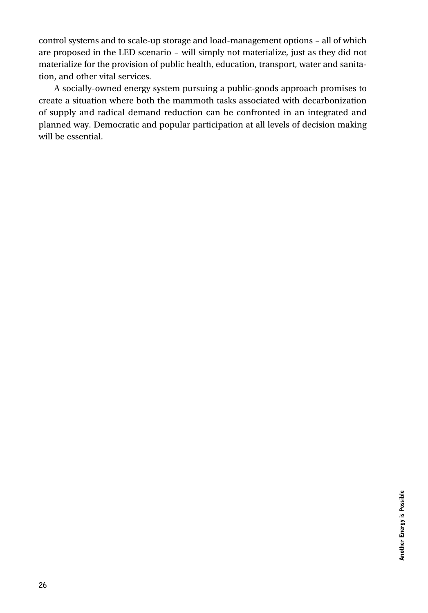control systems and to scale-up storage and load-management options – all of which are proposed in the LED scenario – will simply not materialize, just as they did not materialize for the provision of public health, education, transport, water and sanitation, and other vital services.

A socially-owned energy system pursuing a public-goods approach promises to create a situation where both the mammoth tasks associated with decarbonization of supply and radical demand reduction can be confronted in an integrated and planned way. Democratic and popular participation at all levels of decision making will be essential.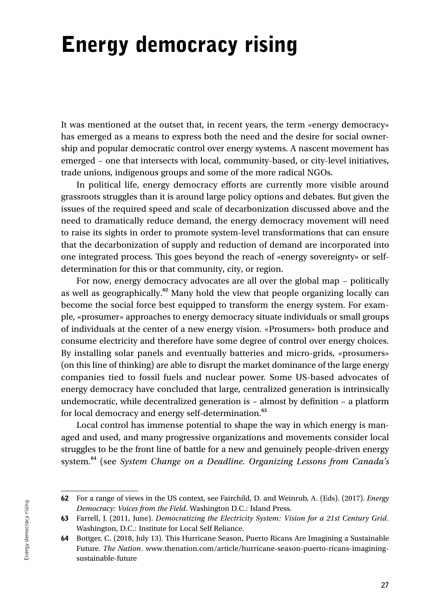# Energy democracy rising

It was mentioned at the outset that, in recent years, the term «energy democracy» has emerged as a means to express both the need and the desire for social ownership and popular democratic control over energy systems. A nascent movement has emerged – one that intersects with local, community-based, or city-level initiatives, trade unions, indigenous groups and some of the more radical NGOs.

In political life, energy democracy efforts are currently more visible around grassroots struggles than it is around large policy options and debates. But given the issues of the required speed and scale of decarbonization discussed above and the need to dramatically reduce demand, the energy democracy movement will need to raise its sights in order to promote system-level transformations that can ensure that the decarbonization of supply and reduction of demand are incorporated into one integrated process. This goes beyond the reach of «energy sovereignty» or selfdetermination for this or that community, city, or region.

For now, energy democracy advocates are all over the global map – politically as well as geographically.**<sup>62</sup>** Many hold the view that people organizing locally can become the social force best equipped to transform the energy system. For example, «prosumer» approaches to energy democracy situate individuals or small groups of individuals at the center of a new energy vision. «Prosumers» both produce and consume electricity and therefore have some degree of control over energy choices. By installing solar panels and eventually batteries and micro-grids, «prosumers» (on this line of thinking) are able to disrupt the market dominance of the large energy companies tied to fossil fuels and nuclear power. Some US-based advocates of energy democracy have concluded that large, centralized generation is intrinsically undemocratic, while decentralized generation is – almost by definition – a platform for local democracy and energy self-determination.**<sup>63</sup>**

Local control has immense potential to shape the way in which energy is managed and used, and many progressive organizations and movements consider local struggles to be the front line of battle for a new and genuinely people-driven energy system.**<sup>64</sup>** (see *System Change on a Deadline. Organizing Lessons from Canada's* 

<sup>62</sup> For a range of views in the US context, see Fairchild, D. and Weinrub, A. (Eds). (2017). *Energy Democracy: Voices from the Field*. Washington D.C.: Island Press.

<sup>63</sup> Farrell, J. (2011, June). *Democratizing the Electricity System: Vision for a 21st Century Grid*. Washington, D.C.: Institute for Local Self Reliance.

<sup>64</sup> Bottger, C. (2018, July 13). This Hurricane Season, Puerto Ricans Are Imagining a Sustainable Future. *The Nation*. www.thenation.com/article/hurricane-season-puerto-ricans-imaginingsustainable-future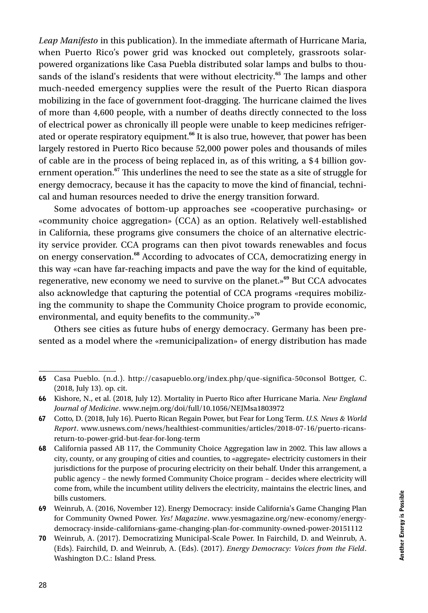*Leap Manifesto* in this publication). In the immediate aftermath of Hurricane Maria, when Puerto Rico's power grid was knocked out completely, grassroots solarpowered organizations like Casa Puebla distributed solar lamps and bulbs to thousands of the island's residents that were without electricity.**<sup>65</sup>** The lamps and other much-needed emergency supplies were the result of the Puerto Rican diaspora mobilizing in the face of government foot-dragging. The hurricane claimed the lives of more than 4,600 people, with a number of deaths directly connected to the loss of electrical power as chronically ill people were unable to keep medicines refrigerated or operate respiratory equipment.**<sup>66</sup>** It is also true, however, that power has been largely restored in Puerto Rico because 52,000 power poles and thousands of miles of cable are in the process of being replaced in, as of this writing, a \$4 billion government operation.**<sup>67</sup>** This underlines the need to see the state as a site of struggle for energy democracy, because it has the capacity to move the kind of financial, technical and human resources needed to drive the energy transition forward.

Some advocates of bottom-up approaches see «cooperative purchasing» or «community choice aggregation» (CCA) as an option. Relatively well-established in California, these programs give consumers the choice of an alternative electricity service provider. CCA programs can then pivot towards renewables and focus on energy conservation.**<sup>68</sup>** According to advocates of CCA, democratizing energy in this way «can have far-reaching impacts and pave the way for the kind of equitable, regenerative, new economy we need to survive on the planet.»**<sup>69</sup>** But CCA advocates also acknowledge that capturing the potential of CCA programs «requires mobilizing the community to shape the Community Choice program to provide economic, environmental, and equity benefits to the community.»<sup>70</sup>

Others see cities as future hubs of energy democracy. Germany has been presented as a model where the «remunicipalization» of energy distribution has made

<sup>65</sup> Casa Pueblo. (n.d.). http://casapueblo.org/index.php/que-significa-50consol Bottger, C. (2018, July 13). op. cit.

<sup>66</sup> Kishore, N., et al. (2018, July 12). Mortality in Puerto Rico after Hurricane Maria. *New England Journal of Medicine*. www.nejm.org/doi/full/10.1056/NEJMsa1803972

<sup>67</sup> Cotto, D. (2018, July 16). Puerto Rican Regain Power, but Fear for Long Term. *U.S. News & World Report*. www.usnews.com/news/healthiest-communities/articles/2018-07-16/puerto-ricansreturn-to-power-grid-but-fear-for-long-term

<sup>68</sup> California passed AB 117, the Community Choice Aggregation law in 2002. This law allows a city, county, or any grouping of cities and counties, to «aggregate» electricity customers in their jurisdictions for the purpose of procuring electricity on their behalf. Under this arrangement, a public agency – the newly formed Community Choice program – decides where electricity will come from, while the incumbent utility delivers the electricity, maintains the electric lines, and bills customers.

<sup>69</sup> Weinrub, A. (2016, November 12). Energy Democracy: inside California's Game Changing Plan for Community Owned Power. *Yes! Magazine*. www.yesmagazine.org/new-economy/energydemocracy-inside-californians-game-changing-plan-for-community-owned-power-20151112

<sup>70</sup> Weinrub, A. (2017). Democratizing Municipal-Scale Power. In Fairchild, D. and Weinrub, A. (Eds). Fairchild, D. and Weinrub, A. (Eds). (2017). *Energy Democracy: Voices from the Field*. Washington D.C.: Island Press.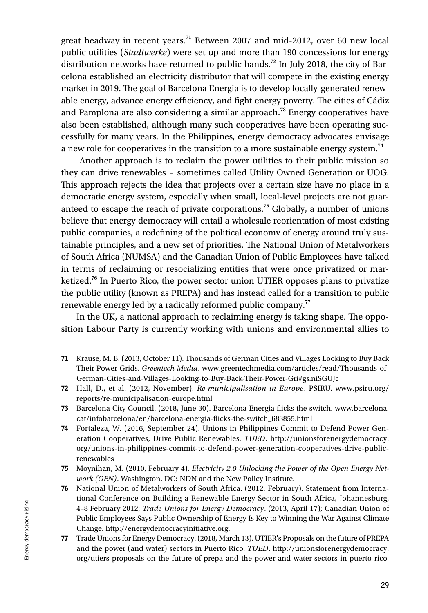great headway in recent years.**<sup>71</sup>** Between 2007 and mid-2012, over 60 new local public utilities (*Stadtwerke*) were set up and more than 190 concessions for energy distribution networks have returned to public hands.**<sup>72</sup>** In July 2018, the city of Barcelona established an electricity distributor that will compete in the existing energy market in 2019. The goal of Barcelona Energia is to develop locally-generated renewable energy, advance energy efficiency, and fight energy poverty. The cities of Cádiz and Pamplona are also considering a similar approach.**<sup>73</sup>** Energy cooperatives have also been established, although many such cooperatives have been operating successfully for many years. In the Philippines, energy democracy advocates envisage a new role for cooperatives in the transition to a more sustainable energy system.**<sup>74</sup>**

 Another approach is to reclaim the power utilities to their public mission so they can drive renewables – sometimes called Utility Owned Generation or UOG. This approach rejects the idea that projects over a certain size have no place in a democratic energy system, especially when small, local-level projects are not guaranteed to escape the reach of private corporations.**<sup>75</sup>** Globally, a number of unions believe that energy democracy will entail a wholesale reorientation of most existing public companies, a redefining of the political economy of energy around truly sustainable principles, and a new set of priorities. The National Union of Metalworkers of South Africa (NUMSA) and the Canadian Union of Public Employees have talked in terms of reclaiming or resocializing entities that were once privatized or marketized.**<sup>76</sup>** In Puerto Rico, the power sector union UTIER opposes plans to privatize the public utility (known as PREPA) and has instead called for a transition to public renewable energy led by a radically reformed public company.**<sup>77</sup>**

In the UK, a national approach to reclaiming energy is taking shape. The opposition Labour Party is currently working with unions and environmental allies to

<sup>71</sup> Krause, M. B. (2013, October 11). Thousands of German Cities and Villages Looking to Buy Back Their Power Grids. *Greentech Media*. www.greentechmedia.com/articles/read/Thousands-of-German-Cities-and-Villages-Looking-to-Buy-Back-Their-Power-Gri#gs.niSGUJc

<sup>72</sup> Hall, D., et al. (2012, November). *Re-municipalisation in Europe*. PSIRU. www.psiru.org/ reports/re-municipalisation-europe.html

<sup>73</sup> Barcelona City Council. (2018, June 30). Barcelona Energia flicks the switch. www.barcelona. cat/infobarcelona/en/barcelona-energia-flicks-the-switch\_683855.html

<sup>74</sup> Fortaleza, W. (2016, September 24). Unions in Philippines Commit to Defend Power Generation Cooperatives, Drive Public Renewables. *TUED*. http://unionsforenergydemocracy. org/unions-in-philippines-commit-to-defend-power-generation-cooperatives-drive-publicrenewables

<sup>75</sup> Moynihan, M. (2010, February 4). *Electricity 2.0 Unlocking the Power of the Open Energy Network (OEN)*. Washington, DC: NDN and the New Policy Institute.

<sup>76</sup> National Union of Metalworkers of South Africa. (2012, February). Statement from International Conference on Building a Renewable Energy Sector in South Africa, Johannesburg, 4–8 February 2012; *Trade Unions for Energy Democracy*. (2013, April 17); Canadian Union of Public Employees Says Public Ownership of Energy Is Key to Winning the War Against Climate Change. http://energydemocracyinitiative.org.

<sup>77</sup> Trade Unions for Energy Democracy. (2018, March 13). UTIER's Proposals on the future of PREPA and the power (and water) sectors in Puerto Rico. *TUED*. http://unionsforenergydemocracy. org/utiers-proposals-on-the-future-of-prepa-and-the-power-and-water-sectors-in-puerto-rico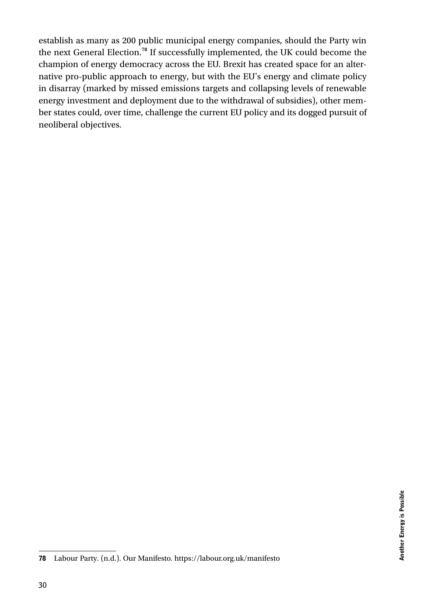establish as many as 200 public municipal energy companies, should the Party win the next General Election.**<sup>78</sup>** If successfully implemented, the UK could become the champion of energy democracy across the EU. Brexit has created space for an alternative pro-public approach to energy, but with the EU's energy and climate policy in disarray (marked by missed emissions targets and collapsing levels of renewable energy investment and deployment due to the withdrawal of subsidies), other member states could, over time, challenge the current EU policy and its dogged pursuit of neoliberal objectives.

<sup>78</sup> Labour Party. (n.d.). Our Manifesto. https://labour.org.uk/manifesto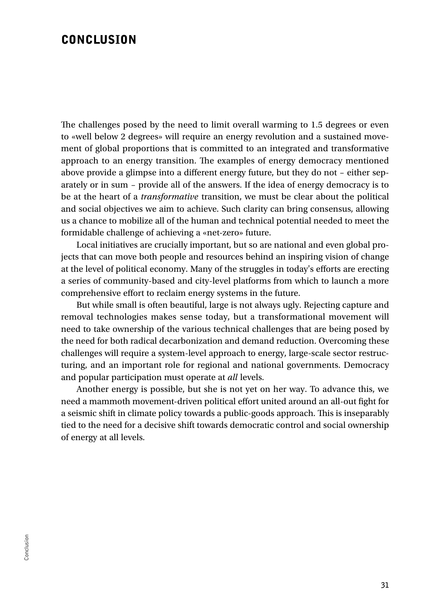#### **CONCLUSION**

The challenges posed by the need to limit overall warming to 1.5 degrees or even to «well below 2 degrees» will require an energy revolution and a sustained movement of global proportions that is committed to an integrated and transformative approach to an energy transition. The examples of energy democracy mentioned above provide a glimpse into a different energy future, but they do not – either separately or in sum – provide all of the answers. If the idea of energy democracy is to be at the heart of a *transformative* transition, we must be clear about the political and social objectives we aim to achieve. Such clarity can bring consensus, allowing us a chance to mobilize all of the human and technical potential needed to meet the formidable challenge of achieving a «net-zero» future.

Local initiatives are crucially important, but so are national and even global projects that can move both people and resources behind an inspiring vision of change at the level of political economy. Many of the struggles in today's efforts are erecting a series of community-based and city-level platforms from which to launch a more comprehensive effort to reclaim energy systems in the future.

But while small is often beautiful, large is not always ugly. Rejecting capture and removal technologies makes sense today, but a transformational movement will need to take ownership of the various technical challenges that are being posed by the need for both radical decarbonization and demand reduction. Overcoming these challenges will require a system-level approach to energy, large-scale sector restructuring, and an important role for regional and national governments. Democracy and popular participation must operate at *all* levels.

Another energy is possible, but she is not yet on her way. To advance this, we need a mammoth movement-driven political effort united around an all-out fight for a seismic shift in climate policy towards a public-goods approach. This is inseparably tied to the need for a decisive shift towards democratic control and social ownership of energy at all levels.